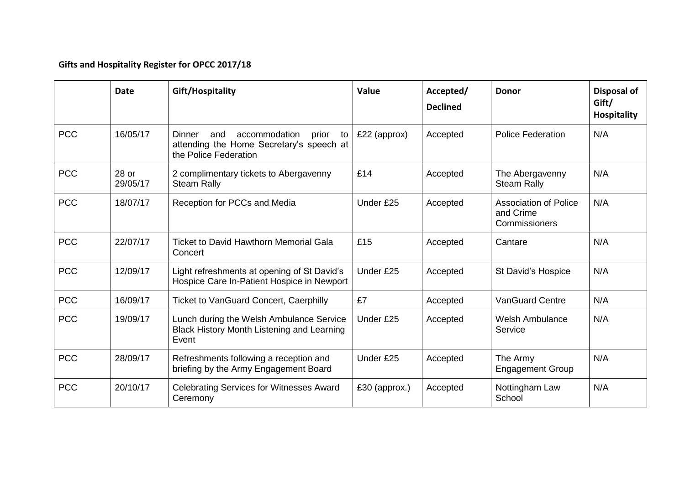## **Gifts and Hospitality Register for OPCC 2017/18**

|            | <b>Date</b>       | Gift/Hospitality                                                                                                   | <b>Value</b>  | Accepted/<br><b>Declined</b> | <b>Donor</b>                                               | Disposal of<br>Gift/<br><b>Hospitality</b> |
|------------|-------------------|--------------------------------------------------------------------------------------------------------------------|---------------|------------------------------|------------------------------------------------------------|--------------------------------------------|
| <b>PCC</b> | 16/05/17          | Dinner<br>accommodation<br>and<br>prior<br>to<br>attending the Home Secretary's speech at<br>the Police Federation | £22 (approx)  | Accepted                     | <b>Police Federation</b>                                   | N/A                                        |
| <b>PCC</b> | 28 or<br>29/05/17 | 2 complimentary tickets to Abergavenny<br><b>Steam Rally</b>                                                       | £14           | Accepted                     | The Abergavenny<br><b>Steam Rally</b>                      | N/A                                        |
| <b>PCC</b> | 18/07/17          | Reception for PCCs and Media                                                                                       | Under £25     | Accepted                     | <b>Association of Police</b><br>and Crime<br>Commissioners | N/A                                        |
| <b>PCC</b> | 22/07/17          | <b>Ticket to David Hawthorn Memorial Gala</b><br>Concert                                                           | £15           | Accepted                     | Cantare                                                    | N/A                                        |
| <b>PCC</b> | 12/09/17          | Light refreshments at opening of St David's<br>Hospice Care In-Patient Hospice in Newport                          | Under £25     | Accepted                     | St David's Hospice                                         | N/A                                        |
| <b>PCC</b> | 16/09/17          | <b>Ticket to VanGuard Concert, Caerphilly</b>                                                                      | £7            | Accepted                     | <b>VanGuard Centre</b>                                     | N/A                                        |
| <b>PCC</b> | 19/09/17          | Lunch during the Welsh Ambulance Service<br>Black History Month Listening and Learning<br>Event                    | Under £25     | Accepted                     | <b>Welsh Ambulance</b><br>Service                          | N/A                                        |
| <b>PCC</b> | 28/09/17          | Refreshments following a reception and<br>briefing by the Army Engagement Board                                    | Under £25     | Accepted                     | The Army<br><b>Engagement Group</b>                        | N/A                                        |
| <b>PCC</b> | 20/10/17          | <b>Celebrating Services for Witnesses Award</b><br>Ceremony                                                        | £30 (approx.) | Accepted                     | Nottingham Law<br>School                                   | N/A                                        |